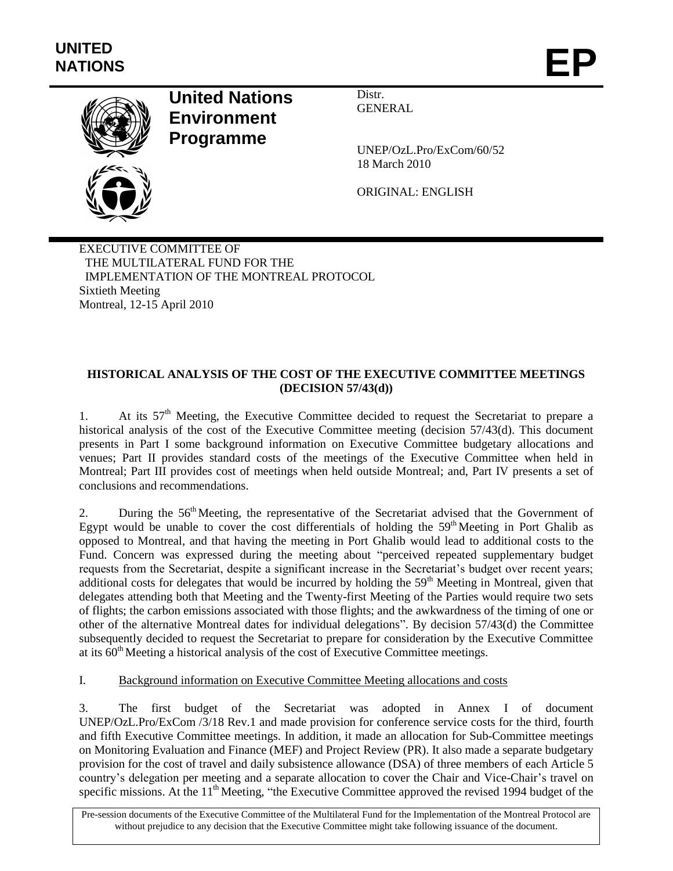

# **United Nations Environment Programme**

Distr. **GENERAL** 

UNEP/OzL.Pro/ExCom/60/52 18 March 2010

ORIGINAL: ENGLISH

EXECUTIVE COMMITTEE OF THE MULTILATERAL FUND FOR THE IMPLEMENTATION OF THE MONTREAL PROTOCOL Sixtieth Meeting Montreal, 12-15 April 2010

# **HISTORICAL ANALYSIS OF THE COST OF THE EXECUTIVE COMMITTEE MEETINGS (DECISION 57/43(d))**

1. At its  $57<sup>th</sup>$  Meeting, the Executive Committee decided to request the Secretariat to prepare a historical analysis of the cost of the Executive Committee meeting (decision 57/43(d). This document presents in Part I some background information on Executive Committee budgetary allocations and venues; Part II provides standard costs of the meetings of the Executive Committee when held in Montreal; Part III provides cost of meetings when held outside Montreal; and, Part IV presents a set of conclusions and recommendations.

2. During the 56<sup>th</sup> Meeting, the representative of the Secretariat advised that the Government of Egypt would be unable to cover the cost differentials of holding the  $59<sup>th</sup>$  Meeting in Port Ghalib as opposed to Montreal, and that having the meeting in Port Ghalib would lead to additional costs to the Fund. Concern was expressed during the meeting about "perceived repeated supplementary budget requests from the Secretariat, despite a significant increase in the Secretariat's budget over recent years; additional costs for delegates that would be incurred by holding the 59<sup>th</sup> Meeting in Montreal, given that delegates attending both that Meeting and the Twenty-first Meeting of the Parties would require two sets of flights; the carbon emissions associated with those flights; and the awkwardness of the timing of one or other of the alternative Montreal dates for individual delegations". By decision 57/43(d) the Committee subsequently decided to request the Secretariat to prepare for consideration by the Executive Committee at its 60th Meeting a historical analysis of the cost of Executive Committee meetings.

# I. Background information on Executive Committee Meeting allocations and costs

3. The first budget of the Secretariat was adopted in Annex I of document UNEP/OzL.Pro/ExCom /3/18 Rev.1 and made provision for conference service costs for the third, fourth and fifth Executive Committee meetings. In addition, it made an allocation for Sub-Committee meetings on Monitoring Evaluation and Finance (MEF) and Project Review (PR). It also made a separate budgetary provision for the cost of travel and daily subsistence allowance (DSA) of three members of each Article 5 country's delegation per meeting and a separate allocation to cover the Chair and Vice-Chair's travel on specific missions. At the  $11<sup>th</sup>$  Meeting, "the Executive Committee approved the revised 1994 budget of the

Pre-session documents of the Executive Committee of the Multilateral Fund for the Implementation of the Montreal Protocol are without prejudice to any decision that the Executive Committee might take following issuance of the document.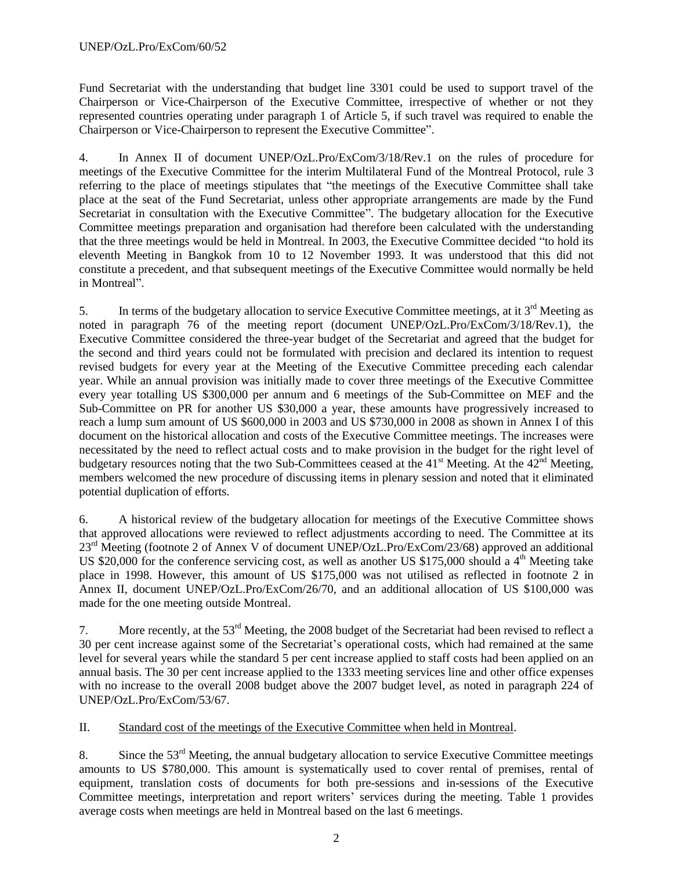Fund Secretariat with the understanding that budget line 3301 could be used to support travel of the Chairperson or Vice-Chairperson of the Executive Committee, irrespective of whether or not they represented countries operating under paragraph 1 of Article 5, if such travel was required to enable the Chairperson or Vice-Chairperson to represent the Executive Committee".

4. In Annex II of document UNEP/OzL.Pro/ExCom/3/18/Rev.1 on the rules of procedure for meetings of the Executive Committee for the interim Multilateral Fund of the Montreal Protocol, rule 3 referring to the place of meetings stipulates that "the meetings of the Executive Committee shall take place at the seat of the Fund Secretariat, unless other appropriate arrangements are made by the Fund Secretariat in consultation with the Executive Committee". The budgetary allocation for the Executive Committee meetings preparation and organisation had therefore been calculated with the understanding that the three meetings would be held in Montreal. In 2003, the Executive Committee decided "to hold its eleventh Meeting in Bangkok from 10 to 12 November 1993. It was understood that this did not constitute a precedent, and that subsequent meetings of the Executive Committee would normally be held in Montreal".

5. In terms of the budgetary allocation to service Executive Committee meetings, at it  $3<sup>rd</sup>$  Meeting as noted in paragraph 76 of the meeting report (document UNEP/OzL.Pro/ExCom/3/18/Rev.1), the Executive Committee considered the three-year budget of the Secretariat and agreed that the budget for the second and third years could not be formulated with precision and declared its intention to request revised budgets for every year at the Meeting of the Executive Committee preceding each calendar year. While an annual provision was initially made to cover three meetings of the Executive Committee every year totalling US \$300,000 per annum and 6 meetings of the Sub-Committee on MEF and the Sub-Committee on PR for another US \$30,000 a year, these amounts have progressively increased to reach a lump sum amount of US \$600,000 in 2003 and US \$730,000 in 2008 as shown in Annex I of this document on the historical allocation and costs of the Executive Committee meetings. The increases were necessitated by the need to reflect actual costs and to make provision in the budget for the right level of budgetary resources noting that the two Sub-Committees ceased at the  $41<sup>st</sup>$  Meeting. At the  $42<sup>nd</sup>$  Meeting, members welcomed the new procedure of discussing items in plenary session and noted that it eliminated potential duplication of efforts.

6. A historical review of the budgetary allocation for meetings of the Executive Committee shows that approved allocations were reviewed to reflect adjustments according to need. The Committee at its 23<sup>rd</sup> Meeting (footnote 2 of Annex V of document UNEP/OzL.Pro/ExCom/23/68) approved an additional US \$20,000 for the conference servicing cost, as well as another US \$175,000 should a  $4<sup>th</sup>$  Meeting take place in 1998. However, this amount of US \$175,000 was not utilised as reflected in footnote 2 in Annex II, document UNEP/OzL.Pro/ExCom/26/70, and an additional allocation of US \$100,000 was made for the one meeting outside Montreal.

7. More recently, at the 53rd Meeting, the 2008 budget of the Secretariat had been revised to reflect a 30 per cent increase against some of the Secretariat's operational costs, which had remained at the same level for several years while the standard 5 per cent increase applied to staff costs had been applied on an annual basis. The 30 per cent increase applied to the 1333 meeting services line and other office expenses with no increase to the overall 2008 budget above the 2007 budget level, as noted in paragraph 224 of UNEP/OzL.Pro/ExCom/53/67.

II. Standard cost of the meetings of the Executive Committee when held in Montreal.

8. Since the 53<sup>rd</sup> Meeting, the annual budgetary allocation to service Executive Committee meetings amounts to US \$780,000. This amount is systematically used to cover rental of premises, rental of equipment, translation costs of documents for both pre-sessions and in-sessions of the Executive Committee meetings, interpretation and report writers' services during the meeting. Table 1 provides average costs when meetings are held in Montreal based on the last 6 meetings.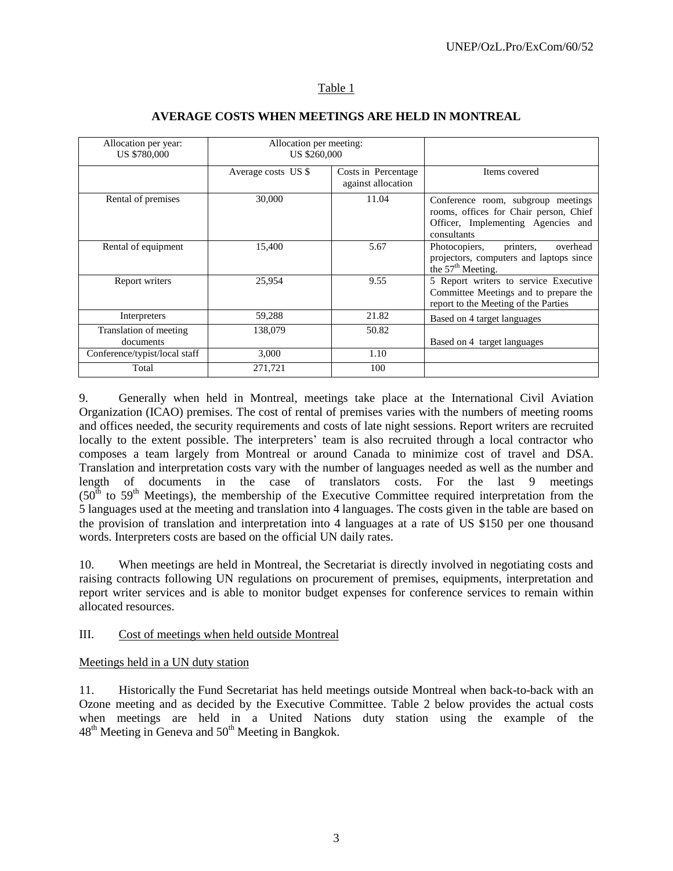### Table 1

| Allocation per year:<br><b>US \$780,000</b> | Allocation per meeting:<br><b>US \$260,000</b> |                                           |                                                                                                                                   |
|---------------------------------------------|------------------------------------------------|-------------------------------------------|-----------------------------------------------------------------------------------------------------------------------------------|
|                                             | Average costs US \$                            | Costs in Percentage<br>against allocation | Items covered                                                                                                                     |
| Rental of premises                          | 30,000                                         | 11.04                                     | Conference room, subgroup meetings<br>rooms, offices for Chair person, Chief<br>Officer, Implementing Agencies and<br>consultants |
| Rental of equipment                         | 15,400                                         | 5.67                                      | printers,<br>overhead<br>Photocopiers,<br>projectors, computers and laptops since<br>the 57 <sup>th</sup> Meeting.                |
| Report writers                              | 25,954                                         | 9.55                                      | 5 Report writers to service Executive<br>Committee Meetings and to prepare the<br>report to the Meeting of the Parties            |
| Interpreters                                | 59,288                                         | 21.82                                     | Based on 4 target languages                                                                                                       |
| Translation of meeting<br>documents         | 138,079                                        | 50.82                                     | Based on 4 target languages                                                                                                       |
| Conference/typist/local staff               | 3,000                                          | 1.10                                      |                                                                                                                                   |
| Total                                       | 271,721                                        | 100                                       |                                                                                                                                   |

#### **AVERAGE COSTS WHEN MEETINGS ARE HELD IN MONTREAL**

9. Generally when held in Montreal, meetings take place at the International Civil Aviation Organization (ICAO) premises. The cost of rental of premises varies with the numbers of meeting rooms and offices needed, the security requirements and costs of late night sessions. Report writers are recruited locally to the extent possible. The interpreters' team is also recruited through a local contractor who composes a team largely from Montreal or around Canada to minimize cost of travel and DSA. Translation and interpretation costs vary with the number of languages needed as well as the number and length of documents in the case of translators costs. For the last 9 meetings  $(50<sup>th</sup>$  to  $59<sup>th</sup>$  Meetings), the membership of the Executive Committee required interpretation from the 5 languages used at the meeting and translation into 4 languages. The costs given in the table are based on the provision of translation and interpretation into 4 languages at a rate of US \$150 per one thousand words. Interpreters costs are based on the official UN daily rates.

10. When meetings are held in Montreal, the Secretariat is directly involved in negotiating costs and raising contracts following UN regulations on procurement of premises, equipments, interpretation and report writer services and is able to monitor budget expenses for conference services to remain within allocated resources.

#### III. Cost of meetings when held outside Montreal

#### Meetings held in a UN duty station

11. Historically the Fund Secretariat has held meetings outside Montreal when back-to-back with an Ozone meeting and as decided by the Executive Committee. Table 2 below provides the actual costs when meetings are held in a United Nations duty station using the example of the  $48<sup>th</sup>$  Meeting in Geneva and  $50<sup>th</sup>$  Meeting in Bangkok.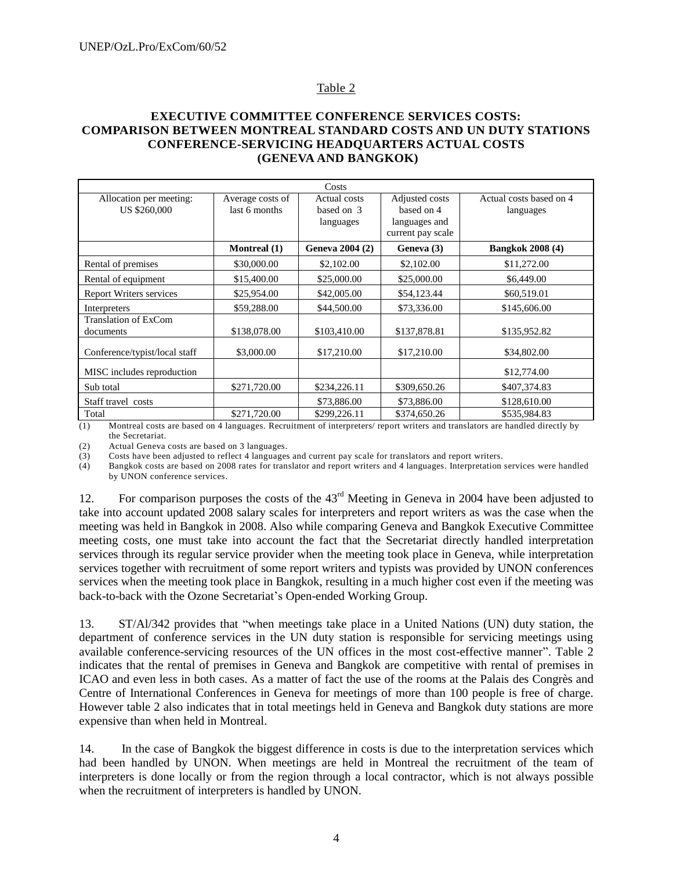# Table 2

#### **EXECUTIVE COMMITTEE CONFERENCE SERVICES COSTS: COMPARISON BETWEEN MONTREAL STANDARD COSTS AND UN DUTY STATIONS CONFERENCE-SERVICING HEADQUARTERS ACTUAL COSTS (GENEVA AND BANGKOK)**

| Costs                                   |                                   |                                         |                                                                    |                                      |  |  |  |
|-----------------------------------------|-----------------------------------|-----------------------------------------|--------------------------------------------------------------------|--------------------------------------|--|--|--|
| Allocation per meeting:<br>US \$260,000 | Average costs of<br>last 6 months | Actual costs<br>based on 3<br>languages | Adjusted costs<br>based on 4<br>languages and<br>current pay scale | Actual costs based on 4<br>languages |  |  |  |
|                                         | <b>Montreal</b> (1)               | Geneva 2004 (2)                         | Geneva (3)                                                         | <b>Bangkok 2008 (4)</b>              |  |  |  |
| Rental of premises                      | \$30,000.00                       | \$2,102.00                              | \$2,102.00                                                         | \$11,272.00                          |  |  |  |
| Rental of equipment                     | \$15,400.00                       | \$25,000.00                             | \$25,000.00                                                        | \$6,449.00                           |  |  |  |
| <b>Report Writers services</b>          | \$25,954.00                       | \$42,005.00                             | \$54,123.44                                                        | \$60,519.01                          |  |  |  |
| Interpreters                            | \$59,288.00                       | \$44,500.00                             | \$73,336.00                                                        | \$145,606.00                         |  |  |  |
| Translation of ExCom<br>documents       | \$138,078.00                      | \$103,410.00                            | \$137,878.81                                                       | \$135,952.82                         |  |  |  |
| Conference/typist/local staff           | \$3,000.00                        | \$17,210.00                             | \$17,210.00                                                        | \$34,802.00                          |  |  |  |
| MISC includes reproduction              |                                   |                                         |                                                                    | \$12,774.00                          |  |  |  |
| Sub total                               | \$271,720.00                      | \$234,226.11                            | \$309,650.26                                                       | \$407,374.83                         |  |  |  |
| Staff travel costs                      |                                   | \$73,886.00                             | \$73,886.00                                                        | \$128,610.00                         |  |  |  |
| Total                                   | \$271,720.00                      | \$299,226.11                            | \$374,650.26                                                       | \$535,984.83                         |  |  |  |

(1) Montreal costs are based on 4 languages. Recruitment of interpreters/ report writers and translators are handled directly by the Secretariat.

(2) Actual Geneva costs are based on 3 languages.

(3) Costs have been adjusted to reflect 4 languages and current pay scale for translators and report writers.

(4) Bangkok costs are based on 2008 rates for translator and report writers and 4 languages. Interpretation services were handled by UNON conference services.

12. For comparison purposes the costs of the  $43<sup>rd</sup>$  Meeting in Geneva in 2004 have been adjusted to take into account updated 2008 salary scales for interpreters and report writers as was the case when the meeting was held in Bangkok in 2008. Also while comparing Geneva and Bangkok Executive Committee meeting costs, one must take into account the fact that the Secretariat directly handled interpretation services through its regular service provider when the meeting took place in Geneva, while interpretation services together with recruitment of some report writers and typists was provided by UNON conferences services when the meeting took place in Bangkok, resulting in a much higher cost even if the meeting was back-to-back with the Ozone Secretariat's Open-ended Working Group.

13. ST/Al/342 provides that "when meetings take place in a United Nations (UN) duty station, the department of conference services in the UN duty station is responsible for servicing meetings using available conference-servicing resources of the UN offices in the most cost-effective manner". Table 2 indicates that the rental of premises in Geneva and Bangkok are competitive with rental of premises in ICAO and even less in both cases. As a matter of fact the use of the rooms at the Palais des Congrès and Centre of International Conferences in Geneva for meetings of more than 100 people is free of charge. However table 2 also indicates that in total meetings held in Geneva and Bangkok duty stations are more expensive than when held in Montreal.

14. In the case of Bangkok the biggest difference in costs is due to the interpretation services which had been handled by UNON. When meetings are held in Montreal the recruitment of the team of interpreters is done locally or from the region through a local contractor, which is not always possible when the recruitment of interpreters is handled by UNON.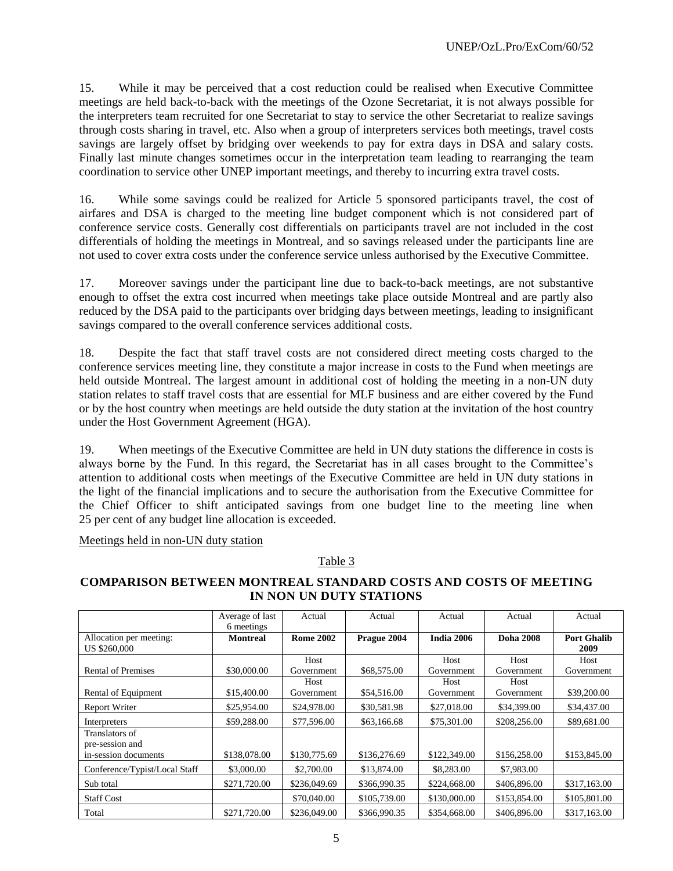15. While it may be perceived that a cost reduction could be realised when Executive Committee meetings are held back-to-back with the meetings of the Ozone Secretariat, it is not always possible for the interpreters team recruited for one Secretariat to stay to service the other Secretariat to realize savings through costs sharing in travel, etc. Also when a group of interpreters services both meetings, travel costs savings are largely offset by bridging over weekends to pay for extra days in DSA and salary costs. Finally last minute changes sometimes occur in the interpretation team leading to rearranging the team coordination to service other UNEP important meetings, and thereby to incurring extra travel costs.

16. While some savings could be realized for Article 5 sponsored participants travel, the cost of airfares and DSA is charged to the meeting line budget component which is not considered part of conference service costs. Generally cost differentials on participants travel are not included in the cost differentials of holding the meetings in Montreal, and so savings released under the participants line are not used to cover extra costs under the conference service unless authorised by the Executive Committee.

17. Moreover savings under the participant line due to back-to-back meetings, are not substantive enough to offset the extra cost incurred when meetings take place outside Montreal and are partly also reduced by the DSA paid to the participants over bridging days between meetings, leading to insignificant savings compared to the overall conference services additional costs.

18. Despite the fact that staff travel costs are not considered direct meeting costs charged to the conference services meeting line, they constitute a major increase in costs to the Fund when meetings are held outside Montreal. The largest amount in additional cost of holding the meeting in a non-UN duty station relates to staff travel costs that are essential for MLF business and are either covered by the Fund or by the host country when meetings are held outside the duty station at the invitation of the host country under the Host Government Agreement (HGA).

19. When meetings of the Executive Committee are held in UN duty stations the difference in costs is always borne by the Fund. In this regard, the Secretariat has in all cases brought to the Committee's attention to additional costs when meetings of the Executive Committee are held in UN duty stations in the light of the financial implications and to secure the authorisation from the Executive Committee for the Chief Officer to shift anticipated savings from one budget line to the meeting line when 25 per cent of any budget line allocation is exceeded.

Meetings held in non-UN duty station

# Table 3

### **COMPARISON BETWEEN MONTREAL STANDARD COSTS AND COSTS OF MEETING IN NON UN DUTY STATIONS**

|                               | Average of last | Actual           | Actual       | Actual       | Actual           | Actual             |
|-------------------------------|-----------------|------------------|--------------|--------------|------------------|--------------------|
|                               | 6 meetings      |                  |              |              |                  |                    |
| Allocation per meeting:       | <b>Montreal</b> | <b>Rome 2002</b> | Prague 2004  | India 2006   | <b>Doha 2008</b> | <b>Port Ghalib</b> |
| US \$260,000                  |                 |                  |              |              |                  | 2009               |
|                               |                 | Host             |              | Host         | Host             | Host               |
| Rental of Premises            | \$30,000.00     | Government       | \$68,575.00  | Government   | Government       | Government         |
|                               |                 | Host             |              | Host         | Host             |                    |
| Rental of Equipment           | \$15,400.00     | Government       | \$54,516.00  | Government   | Government       | \$39,200.00        |
| <b>Report Writer</b>          | \$25,954.00     | \$24,978.00      | \$30,581.98  | \$27,018.00  | \$34,399.00      | \$34,437.00        |
| Interpreters                  | \$59,288.00     | \$77,596.00      | \$63,166.68  | \$75,301.00  | \$208,256.00     | \$89,681.00        |
| Translators of                |                 |                  |              |              |                  |                    |
| pre-session and               |                 |                  |              |              |                  |                    |
| in-session documents          | \$138,078.00    | \$130,775.69     | \$136,276.69 | \$122,349.00 | \$156,258.00     | \$153,845.00       |
| Conference/Typist/Local Staff | \$3,000.00      | \$2,700.00       | \$13,874.00  | \$8,283.00   | \$7,983.00       |                    |
| Sub total                     | \$271,720.00    | \$236,049.69     | \$366,990.35 | \$224,668.00 | \$406,896.00     | \$317,163.00       |
| <b>Staff Cost</b>             |                 | \$70,040.00      | \$105,739.00 | \$130,000.00 | \$153,854.00     | \$105,801.00       |
| Total                         | \$271,720.00    | \$236,049.00     | \$366,990.35 | \$354,668.00 | \$406,896.00     | \$317,163.00       |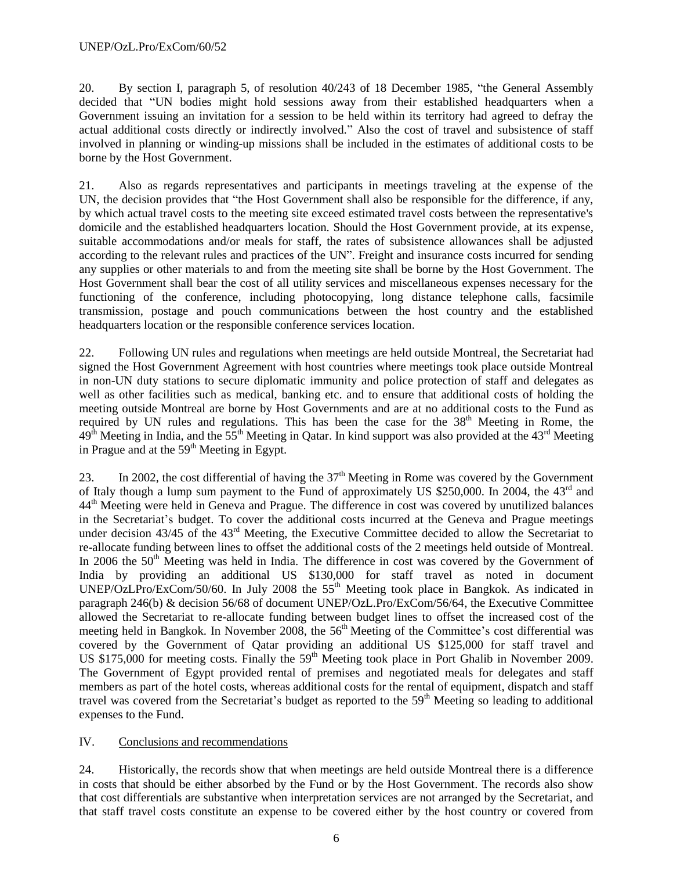20. By section I, paragraph 5, of resolution 40/243 of 18 December 1985, "the General Assembly decided that "UN bodies might hold sessions away from their established headquarters when a Government issuing an invitation for a session to be held within its territory had agreed to defray the actual additional costs directly or indirectly involved." Also the cost of travel and subsistence of staff involved in planning or winding-up missions shall be included in the estimates of additional costs to be borne by the Host Government.

21. Also as regards representatives and participants in meetings traveling at the expense of the UN, the decision provides that "the Host Government shall also be responsible for the difference, if any, by which actual travel costs to the meeting site exceed estimated travel costs between the representative's domicile and the established headquarters location. Should the Host Government provide, at its expense, suitable accommodations and/or meals for staff, the rates of subsistence allowances shall be adjusted according to the relevant rules and practices of the UN". Freight and insurance costs incurred for sending any supplies or other materials to and from the meeting site shall be borne by the Host Government. The Host Government shall bear the cost of all utility services and miscellaneous expenses necessary for the functioning of the conference, including photocopying, long distance telephone calls, facsimile transmission, postage and pouch communications between the host country and the established headquarters location or the responsible conference services location.

22. Following UN rules and regulations when meetings are held outside Montreal, the Secretariat had signed the Host Government Agreement with host countries where meetings took place outside Montreal in non-UN duty stations to secure diplomatic immunity and police protection of staff and delegates as well as other facilities such as medical, banking etc. and to ensure that additional costs of holding the meeting outside Montreal are borne by Host Governments and are at no additional costs to the Fund as required by UN rules and regulations. This has been the case for the 38<sup>th</sup> Meeting in Rome, the  $49<sup>th</sup>$  Meeting in India, and the  $55<sup>th</sup>$  Meeting in Qatar. In kind support was also provided at the  $43<sup>rd</sup>$  Meeting in Prague and at the  $59<sup>th</sup>$  Meeting in Egypt.

23. In 2002, the cost differential of having the  $37<sup>th</sup>$  Meeting in Rome was covered by the Government of Italy though a lump sum payment to the Fund of approximately US \$250,000. In 2004, the 43<sup>rd</sup> and 44<sup>th</sup> Meeting were held in Geneva and Prague. The difference in cost was covered by unutilized balances in the Secretariat's budget. To cover the additional costs incurred at the Geneva and Prague meetings under decision 43/45 of the 43<sup>rd</sup> Meeting, the Executive Committee decided to allow the Secretariat to re-allocate funding between lines to offset the additional costs of the 2 meetings held outside of Montreal. In 2006 the  $50<sup>th</sup>$  Meeting was held in India. The difference in cost was covered by the Government of India by providing an additional US \$130,000 for staff travel as noted in document UNEP/OzLPro/ExCom/50/60. In July 2008 the  $55<sup>th</sup>$  Meeting took place in Bangkok. As indicated in paragraph 246(b) & decision 56/68 of document UNEP/OzL.Pro/ExCom/56/64, the Executive Committee allowed the Secretariat to re-allocate funding between budget lines to offset the increased cost of the meeting held in Bangkok. In November 2008, the 56<sup>th</sup> Meeting of the Committee's cost differential was covered by the Government of Qatar providing an additional US \$125,000 for staff travel and US \$175,000 for meeting costs. Finally the  $59<sup>th</sup>$  Meeting took place in Port Ghalib in November 2009. The Government of Egypt provided rental of premises and negotiated meals for delegates and staff members as part of the hotel costs, whereas additional costs for the rental of equipment, dispatch and staff travel was covered from the Secretariat's budget as reported to the 59<sup>th</sup> Meeting so leading to additional expenses to the Fund.

# IV. Conclusions and recommendations

24. Historically, the records show that when meetings are held outside Montreal there is a difference in costs that should be either absorbed by the Fund or by the Host Government. The records also show that cost differentials are substantive when interpretation services are not arranged by the Secretariat, and that staff travel costs constitute an expense to be covered either by the host country or covered from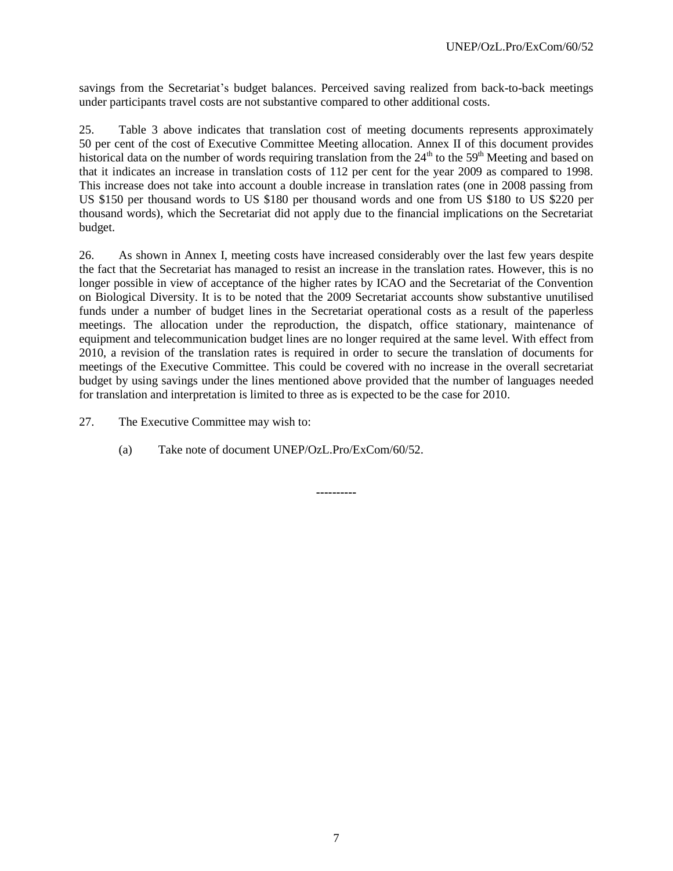savings from the Secretariat's budget balances. Perceived saving realized from back-to-back meetings under participants travel costs are not substantive compared to other additional costs.

25. Table 3 above indicates that translation cost of meeting documents represents approximately 50 per cent of the cost of Executive Committee Meeting allocation. Annex II of this document provides historical data on the number of words requiring translation from the  $24<sup>th</sup>$  to the 59<sup>th</sup> Meeting and based on that it indicates an increase in translation costs of 112 per cent for the year 2009 as compared to 1998. This increase does not take into account a double increase in translation rates (one in 2008 passing from US \$150 per thousand words to US \$180 per thousand words and one from US \$180 to US \$220 per thousand words), which the Secretariat did not apply due to the financial implications on the Secretariat budget.

26. As shown in Annex I, meeting costs have increased considerably over the last few years despite the fact that the Secretariat has managed to resist an increase in the translation rates. However, this is no longer possible in view of acceptance of the higher rates by ICAO and the Secretariat of the Convention on Biological Diversity. It is to be noted that the 2009 Secretariat accounts show substantive unutilised funds under a number of budget lines in the Secretariat operational costs as a result of the paperless meetings. The allocation under the reproduction, the dispatch, office stationary, maintenance of equipment and telecommunication budget lines are no longer required at the same level. With effect from 2010, a revision of the translation rates is required in order to secure the translation of documents for meetings of the Executive Committee. This could be covered with no increase in the overall secretariat budget by using savings under the lines mentioned above provided that the number of languages needed for translation and interpretation is limited to three as is expected to be the case for 2010.

**----------**

27. The Executive Committee may wish to:

(a) Take note of document UNEP/OzL.Pro/ExCom/60/52.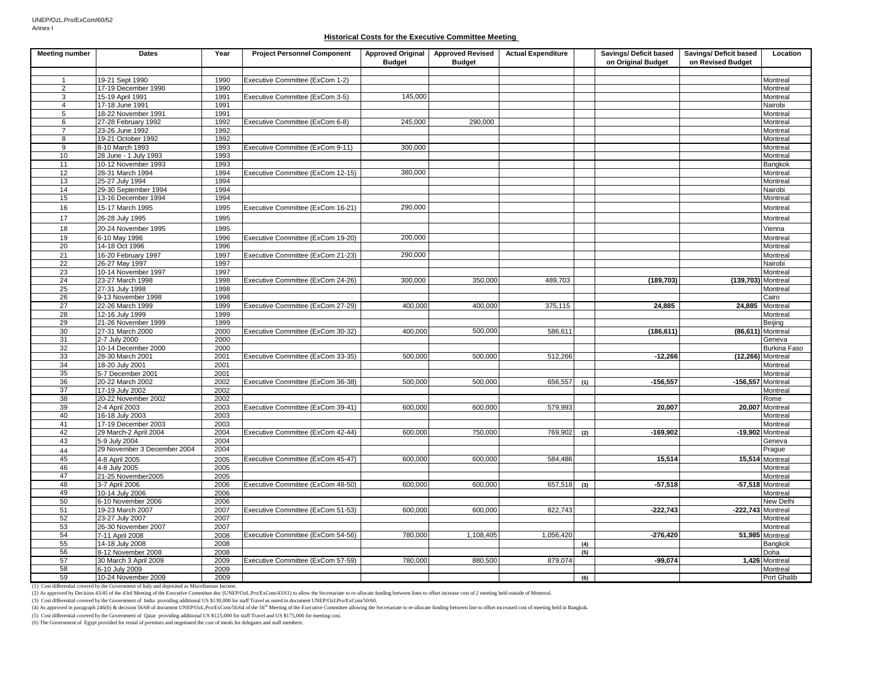#### **Historical Costs for the Executive Committee Meeting**

| <b>Meeting number</b> | Dates                       | Year         | <b>Project Personnel Component</b> | <b>Approved Original</b><br><b>Budget</b> | <b>Approved Revised</b><br><b>Budget</b> | <b>Actual Expenditure</b> |     | Savings/ Deficit based<br>on Original Budget | Savings/ Deficit based<br>on Revised Budget | Location                   |
|-----------------------|-----------------------------|--------------|------------------------------------|-------------------------------------------|------------------------------------------|---------------------------|-----|----------------------------------------------|---------------------------------------------|----------------------------|
|                       |                             |              |                                    |                                           |                                          |                           |     |                                              |                                             |                            |
|                       | 19-21 Sept 1990             | 1990         | Executive Committee (ExCom 1-2)    |                                           |                                          |                           |     |                                              |                                             | Montreal                   |
| 2                     | 17-19 December 1990         | 1990         |                                    |                                           |                                          |                           |     |                                              |                                             | Montreal                   |
| 3                     | 15-19 April 1991            | 1991         | Executive Committee (ExCom 3-5)    | 145,000                                   |                                          |                           |     |                                              |                                             | Montreal                   |
| $\overline{4}$        | 17-18 June 1991             | 1991         |                                    |                                           |                                          |                           |     |                                              |                                             | Nairobi                    |
| 5                     | 18-22 November 1991         | 1991         |                                    |                                           |                                          |                           |     |                                              |                                             | Montreal                   |
| 6                     | 27-28 February 1992         | 1992         | Executive Committee (ExCom 6-8)    | 245.000                                   | 290,000                                  |                           |     |                                              |                                             | Montreal                   |
| $\overline{7}$        | 23-26 June 1992             | 1992         |                                    |                                           |                                          |                           |     |                                              |                                             | Montreal                   |
| 8                     | 19-21 October 1992          | 1992         |                                    |                                           |                                          |                           |     |                                              |                                             | Montreal                   |
| 9                     | 8-10 March 1993             | 1993         | Executive Committee (ExCom 9-11)   | 300,000                                   |                                          |                           |     |                                              |                                             | Montreal                   |
| 10                    | 28 June - 1 July 1993       | 1993         |                                    |                                           |                                          |                           |     |                                              |                                             | Montreal                   |
| 11                    | 10-12 November 1993         | 1993         |                                    |                                           |                                          |                           |     |                                              |                                             | Bangkok                    |
| 12                    | 28-31 March 1994            | 1994         | Executive Committee (ExCom 12-15)  | 380,000                                   |                                          |                           |     |                                              |                                             | Montreal                   |
| 13                    | 25-27 July 1994             | 1994         |                                    |                                           |                                          |                           |     |                                              |                                             | Montreal                   |
| 14                    | 29-30 September 1994        | 1994         |                                    |                                           |                                          |                           |     |                                              |                                             | Nairobi                    |
| 15                    | 13-16 December 1994         | 1994         |                                    |                                           |                                          |                           |     |                                              |                                             | Montreal                   |
| 16                    | 15-17 March 1995            | 1995         | Executive Committee (ExCom 16-21)  | 290,000                                   |                                          |                           |     |                                              |                                             | Montreal                   |
| 17                    | 26-28 July 1995             | 1995         |                                    |                                           |                                          |                           |     |                                              |                                             | Montreal                   |
| 18                    | 20-24 November 1995         | 1995         |                                    |                                           |                                          |                           |     |                                              |                                             | Vienna                     |
| 19                    | 6-10 May 1996               | 1996         | Executive Committee (ExCom 19-20)  | 200,000                                   |                                          |                           |     |                                              |                                             | Montreal                   |
| 20                    | 14-18 Oct 1996              | 1996         |                                    |                                           |                                          |                           |     |                                              |                                             | Montreal                   |
| 21                    | 16-20 February 1997         | 1997         | Executive Committee (ExCom 21-23)  | 290,000                                   |                                          |                           |     |                                              |                                             | Montreal                   |
| 22                    | 26-27 May 1997              | 1997         |                                    |                                           |                                          |                           |     |                                              |                                             | Nairobi                    |
| 23                    | 10-14 November 1997         | 1997         |                                    |                                           |                                          |                           |     |                                              |                                             | Montreal                   |
| 24                    | 23-27 March 1998            | 1998         | Executive Committee (ExCom 24-26)  | 300,000                                   | 350,000                                  | 489,703                   |     | (189, 703)                                   | (139,703) Montreal                          |                            |
| 25                    | 27-31 July 1998             | 1998         |                                    |                                           |                                          |                           |     |                                              |                                             | Montreal                   |
| 26                    | 9-13 November 1998          | 1998         |                                    |                                           |                                          |                           |     |                                              |                                             | $\overline{\text{C}$ airo  |
| 27                    | 22-26 March 1999            | 1999         | Executive Committee (ExCom 27-29)  | 400,000                                   | 400.000                                  | 375,115                   |     | 24,885                                       |                                             | 24,885 Montreal            |
| 28                    | 12-16 July 1999             | 1999         |                                    |                                           |                                          |                           |     |                                              |                                             | Montreal                   |
| 29                    | 21-26 November 1999         | 1999         |                                    |                                           |                                          |                           |     |                                              |                                             | Beijing                    |
| 30                    | 27-31 March 2000            | 2000         | Executive Committee (ExCom 30-32)  | 400,000                                   | 500,000                                  | 586,611                   |     | (186, 611)                                   |                                             | (86,611) Montreal          |
| 31                    | 2-7 July 2000               | 2000         |                                    |                                           |                                          |                           |     |                                              |                                             | Geneva                     |
| 32                    | 10-14 December 2000         | 2000         |                                    |                                           |                                          |                           |     |                                              |                                             | Burkina Faso               |
| 33                    | 28-30 March 2001            | 2001         | Executive Committee (ExCom 33-35)  | 500,000                                   | 500,000                                  | 512,266                   |     | $-12.266$                                    |                                             | $(12,266)$ Montreal        |
| 34                    | 18-20 July 2001             | 2001         |                                    |                                           |                                          |                           |     |                                              |                                             | Montreal                   |
| 35                    | 5-7 December 2001           | 2001         |                                    |                                           |                                          |                           |     |                                              |                                             | Montreal                   |
| 36                    | 20-22 March 2002            | 2002         | Executive Committee (ExCom 36-38)  | 500,000                                   | 500,000                                  | 656,557                   | (1) | $-156,557$                                   | $-156,557$ Montreal                         |                            |
| 37                    | 17-19 July 2002             | 2002         |                                    |                                           |                                          |                           |     |                                              |                                             | Montreal                   |
| 38                    | 20-22 November 2002         | 2002         |                                    |                                           |                                          |                           |     |                                              |                                             | Rome                       |
| 39                    | 2-4 April 2003              | 2003         | Executive Committee (ExCom 39-41)  | 600,000                                   | 600,000                                  | 579,993                   |     | 20,007                                       |                                             | 20,007 Montreal            |
| 40                    | 16-18 July 2003             | 2003         |                                    |                                           |                                          |                           |     |                                              |                                             | Montreal                   |
| 41                    | 17-19 December 2003         | 2003         |                                    |                                           |                                          |                           |     |                                              |                                             | Montreal                   |
| 42                    | 29 March-2 April 2004       | 2004         | Executive Committee (ExCom 42-44)  | 600,000                                   | 750,000                                  | 769,902                   | (2) | $-169,902$                                   |                                             | -19,902 Montreal           |
| 43                    | 5-9 July 2004               | 2004         |                                    |                                           |                                          |                           |     |                                              |                                             | Geneva                     |
| 44                    | 29 November 3 December 2004 | 2004         |                                    |                                           |                                          |                           |     |                                              |                                             | Prague                     |
| 45                    | 4-8 April 2005              | 2005         | Executive Committee (ExCom 45-47)  | 600,000                                   | 600,000                                  | 584,486                   |     | 15,514                                       |                                             | 15,514 Montreal            |
| 46                    | 4-8 July 2005               | 2005         |                                    |                                           |                                          |                           |     |                                              |                                             | Montreal                   |
| 47                    | 21-25 November 2005         | 2005         |                                    |                                           |                                          |                           |     |                                              |                                             | Montreal                   |
| 48                    | 3-7 April 2006              | 2006         | Executive Committee (ExCom 48-50)  | 600,000                                   | 600,000                                  | 657,518                   | (3) | $-57,518$                                    |                                             | -57,518 Montreal           |
| 49                    | 10-14 July 2006             | 2006         |                                    |                                           |                                          |                           |     |                                              |                                             | Montreal                   |
| 50                    | 6-10 November 2006          | 2006         |                                    |                                           |                                          |                           |     |                                              |                                             | <b>New Delhi</b>           |
| 51                    | 19-23 March 2007            | 2007         | Executive Committee (ExCom 51-53)  | 600,000                                   | 600,000                                  | 822,743                   |     | $-222,743$                                   |                                             | $-222,743$ Montreal        |
| 52                    | 23-27 July 2007             | 2007         |                                    |                                           |                                          |                           |     |                                              |                                             | Montreal                   |
| 53                    | 26-30 November 2007         | 2007         |                                    |                                           |                                          |                           |     |                                              |                                             | Montreal                   |
| 54                    | 7-11 April 2008             | 2008         | Executive Committee (ExCom 54-56)  | 780.000                                   | 1,108,405                                | 1,056,420                 |     | $-276,420$                                   |                                             | 51,985 Montreal            |
| 55                    | 14-18 July 2008             | 2008         |                                    |                                           |                                          |                           | (4) |                                              |                                             | Bangkok                    |
| 56                    | 8-12 November 2008          | 2008         |                                    |                                           |                                          |                           | (5) |                                              |                                             | Doha                       |
| 57<br>58              | 30 March 3 April 2009       | 2009<br>2009 | Executive Committee (ExCom 57-59)  | 780,000                                   | 880,500                                  | 879,074                   |     | $-99,074$                                    |                                             | 1,426 Montreal<br>Montreal |
| 59                    | 6-10 July 2009              | 2009         |                                    |                                           |                                          |                           |     |                                              |                                             |                            |
|                       | 10-24 November 2009         |              |                                    |                                           |                                          |                           | (6) |                                              |                                             | Port Ghalib                |

(1) Cost differential covered by the Government of Italy and deposited as Miscellanous Income.

(2) As approved by Decision 43/45 of the 43rd Meeting of the Executive Committee doc (UNEP/OzLPro/ExCom/43/61) to allow the Secretariate to re-allocate funding between lines to offset increase cost of 2 meeting held outsid

(3) Cost differential covered by the Government of India providing additional US \$130,000 for staff Travel as noted in document UNEP/OzLPro/ExCom/50/60.

(4) As approved in paragraph 246(b) & decision 56/68 of document UNEP/OzL.Pro/ExCom/56/64 of the 56<sup>th</sup> Meeting of the Executive Committee allowing the Secretariate to re-allocate funding between line to offset increased c

(6) The Government of Egypt provided for rental of premises and negotiated the cost of meals for delegates and staff members.